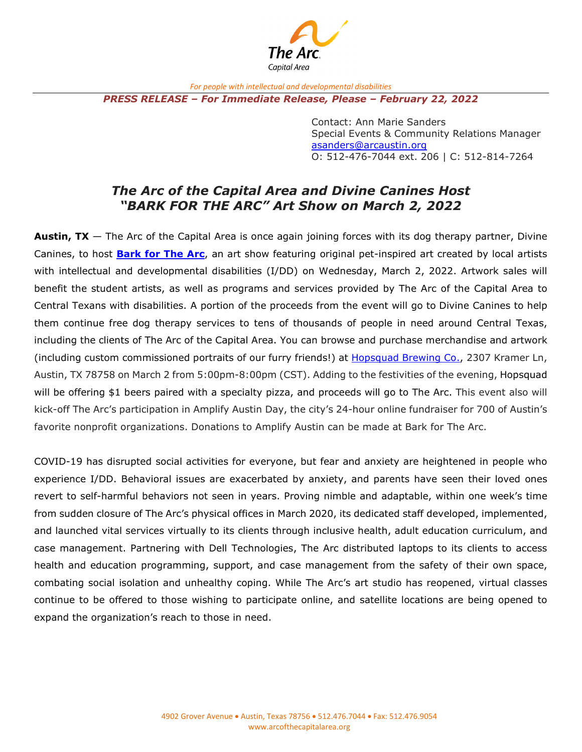

*For people with intellectual and developmental disabilities*

*PRESS RELEASE – For Immediate Release, Please – February 22, 2022*

Contact: Ann Marie Sanders Special Events & Community Relations Manager [asanders@arcaustin.org](mailto:asanders@arcaustin.org) O: 512-476-7044 ext. 206 | C: 512-814-7264

## *The Arc of the Capital Area and Divine Canines Host "BARK FOR THE ARC" Art Show on March 2, 2022*

**Austin, TX** — The Arc of the Capital Area is once again joining forces with its dog therapy partner, Divine Canines, to host **[Bark for The Arc](https://www.arcaustin.org/events-news/barkforthearc/)**, an art show featuring original pet-inspired art created by local artists with intellectual and developmental disabilities (I/DD) on Wednesday, March 2, 2022. Artwork sales will benefit the student artists, as well as programs and services provided by The Arc of the Capital Area to Central Texans with disabilities. A portion of the proceeds from the event will go to Divine Canines to help them continue free dog therapy services to tens of thousands of people in need around Central Texas, including the clients of The Arc of the Capital Area. You can browse and purchase merchandise and artwork (including custom commissioned portraits of our furry friends!) at [Hopsquad Brewing Co.,](http://www.hopsquad.com/) 2307 Kramer Ln, Austin, TX 78758 on March 2 from 5:00pm-8:00pm (CST). Adding to the festivities of the evening, Hopsquad will be offering \$1 beers paired with a specialty pizza, and proceeds will go to The Arc. This event also will kick-off The Arc's participation in Amplify Austin Day, the city's 24-hour online fundraiser for 700 of Austin's favorite nonprofit organizations. Donations to Amplify Austin can be made at Bark for The Arc.

COVID-19 has disrupted social activities for everyone, but fear and anxiety are heightened in people who experience I/DD. Behavioral issues are exacerbated by anxiety, and parents have seen their loved ones revert to self-harmful behaviors not seen in years. Proving nimble and adaptable, within one week's time from sudden closure of The Arc's physical offices in March 2020, its dedicated staff developed, implemented, and launched vital services virtually to its clients through inclusive health, adult education curriculum, and case management. Partnering with Dell Technologies, The Arc distributed laptops to its clients to access health and education programming, support, and case management from the safety of their own space, combating social isolation and unhealthy coping. While The Arc's art studio has reopened, virtual classes continue to be offered to those wishing to participate online, and satellite locations are being opened to expand the organization's reach to those in need.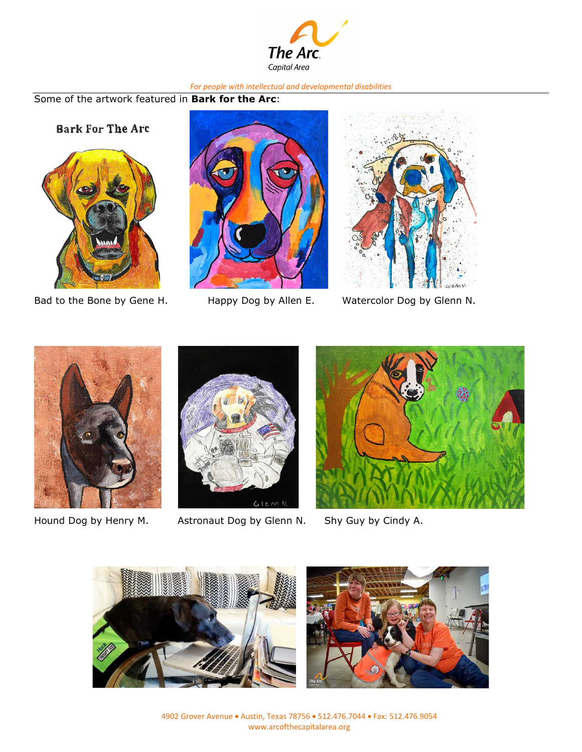

## *For people with intellectual and developmental disabilities*

Some of the artwork featured in **Bark for the Arc**:

**Bark For The Arc** 







Bad to the Bone by Gene H. Happy Dog by Allen E. Watercolor Dog by Glenn N.





Hound Dog by Henry M. Astronaut Dog by Glenn N. Shy Guy by Cindy A.







4902 Grover Avenue • Austin, Texas 78756 • 512.476.7044 • Fax: 512.476.9054 www.arcofthecapitalarea.org